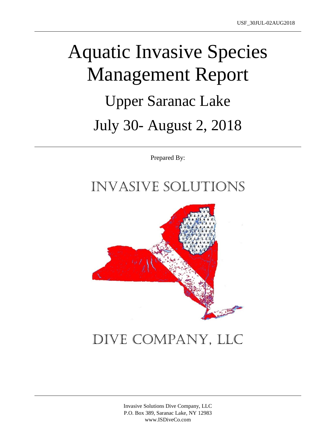# Aquatic Invasive Species Management Report Upper Saranac Lake July 30- August 2, 2018

Prepared By:

### Invasive Solutions



## Dive Company, LLC

Invasive Solutions Dive Company, LLC P.O. Box 389, Saranac Lake, NY 12983 www.ISDiveCo.com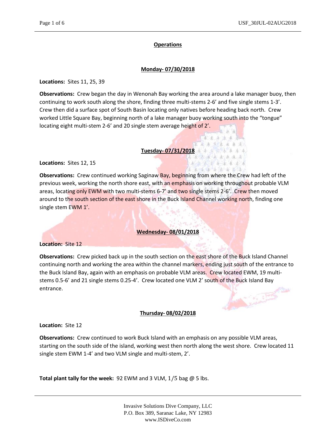#### **Operations**

#### **Monday- 07/30/2018**

**Locations:** Sites 11, 25, 39

**Observations:** Crew began the day in Wenonah Bay working the area around a lake manager buoy, then continuing to work south along the shore, finding three multi-stems 2-6' and five single stems 1-3'. Crew then did a surface spot of South Basin locating only natives before heading back north. Crew worked Little Square Bay, beginning north of a lake manager buoy working south into the "tongue" locating eight multi-stem 2-6' and 20 single stem average height of 2'.

#### **Tuesday- 07/31/2018**

溱

南 医气态 医心病 法人法 4 本家 车车车车车 まま 無事 金吉 金 素 ま

**Locations:** Sites 12, 15

**Observations:** Crew continued working Saginaw Bay, beginning from where the Crew had left of the previous week, working the north shore east, with an emphasis on working throughout probable VLM areas, locating only EWM with two multi-stems 6-7' and two single stems 2-6'. Crew then moved around to the south section of the east shore in the Buck Island Channel working north, finding one single stem EWM 1'.

#### **Wednesday- 08/01/2018**

**Location:** Site 12

**Observations:** Crew picked back up in the south section on the east shore of the Buck Island Channel continuing north and working the area within the channel markers, ending just south of the entrance to the Buck Island Bay, again with an emphasis on probable VLM areas. Crew located EWM, 19 multistems 0.5-6' and 21 single stems 0.25-4'. Crew located one VLM 2' south of the Buck Island Bay<br>entrance. entrance.

#### **Thursday- 08/02/2018**

**Location:** Site 12

**Observations:** Crew continued to work Buck Island with an emphasis on any possible VLM areas, starting on the south side of the island, working west then north along the west shore. Crew located 11 single stem EWM 1-4' and two VLM single and multi-stem, 2'.

**Total plant tally for the week:** 92 EWM and 3 VLM, 1/5 bag @ 5 lbs.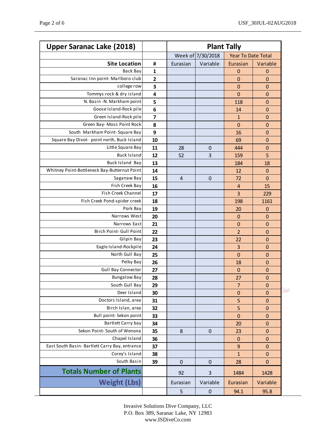| <b>Upper Saranac Lake (2018)</b>               |              | <b>Plant Tally</b> |              |                           |                  |
|------------------------------------------------|--------------|--------------------|--------------|---------------------------|------------------|
|                                                |              | Week of 7/30/2018  |              | <b>Year To Date Total</b> |                  |
| <b>Site Location</b>                           | #            | Eurasian           | Variable     | Eurasian                  | Variable         |
| <b>Back Bay</b>                                | $\mathbf{1}$ |                    |              | $\mathbf 0$               | $\boldsymbol{0}$ |
| Saranac Inn point-Marlboro club                | $\mathbf{2}$ |                    |              | 0                         | $\mathbf 0$      |
| college row                                    | 3            |                    |              | $\overline{0}$            | $\mathbf 0$      |
| Tommys rock & dry island                       | 4            |                    |              | $\overline{0}$            | $\mathbf 0$      |
| N. Basin -N. Markham point                     | 5            |                    |              | 118                       | $\mathbf 0$      |
| Goose Island-Rock pile                         | 6            |                    |              | 14                        | $\mathbf 0$      |
| Green Island-Rock pile                         | 7            |                    |              | $\mathbf{1}$              | $\mathbf 0$      |
| Green Bay- Moss Point Rock                     | 8            |                    |              | $\mathbf 0$               | $\mathbf 0$      |
| South Markham Point-Square Bay                 | 9            |                    |              | 16                        | $\mathbf 0$      |
| Square Bay Divot- point north, Buck Island     | 10           |                    |              | 69                        | $\mathbf 0$      |
| Little Square Bay                              | 11           | 28                 | $\mathbf 0$  | 444                       | $\mathbf 0$      |
| <b>Buck Island</b>                             | 12           | 52                 | 3            | 159                       | 5                |
| <b>Buck Island Bay</b>                         | 13           |                    |              | 184                       | 18               |
| Whitney Point-Bottleneck Bay-Butternut Point   | 14           |                    |              | 12                        | $\pmb{0}$        |
| Saganaw Bay                                    | 15           | 4                  | $\mathbf 0$  | 72                        | $\mathbf 0$      |
| Fish Creek Bay                                 | 16           |                    |              | $\overline{4}$            | 15               |
| Fish Creek Channel                             | 17           |                    |              | 3                         | 229              |
| Fish Creek Pond-spider creek                   | 18           |                    |              | 198                       | 1161             |
| Pork Bay                                       | 19           |                    |              | 20                        | $\mathbf 0$      |
| Narrows West                                   | 20           |                    |              | $\mathbf 0$               | $\mathbf 0$      |
| Narrows East                                   | 21           |                    |              | $\mathbf 0$               | $\mathbf 0$      |
| Birch Point- Gull Point                        | 22           |                    |              | $\overline{2}$            | $\mathbf 0$      |
| Gilpin Bay                                     | 23           |                    |              | 22                        | $\mathbf 0$      |
| Eagle Island-Rockpile                          | 24           |                    |              | 3                         | $\mathbf 0$      |
| North Gull Bay                                 | 25           |                    |              | $\overline{0}$            | $\mathbf 0$      |
| Pelky Bay                                      | 26           |                    |              | 18                        | $\mathbf 0$      |
| <b>Gull Bay Connector</b>                      | 27           |                    |              | $\mathbf{0}$              | $\mathbf 0$      |
| <b>Bungalow Bay</b>                            | 28           |                    |              | 27                        | $\mathbf 0$      |
| South Gull Bay                                 | 29           |                    |              | $\overline{7}$            | $\pmb{0}$        |
| Deer Island                                    | 30           |                    |              | 0                         | $\mathbf 0$      |
| Doctors Island, area                           | 31           |                    |              | 5                         | $\mathbf 0$      |
| Birch Islan, area                              | 32           |                    |              | 5                         | $\mathbf 0$      |
| Bull point- Sekon point                        | 33           |                    |              | $\mathbf 0$               | $\mathbf 0$      |
| Bartlett Carry bay                             | 34           |                    |              | 20                        | $\mathbf 0$      |
| Sekon Point- South of Wenona                   | 35           | 8                  | $\mathbf{0}$ | 23                        | $\mathbf 0$      |
| Chapel Island                                  | 36           |                    |              | $\mathbf 0$               | $\mathbf 0$      |
| East South Basin- Bartlett Carry Bay, entrance | 37           |                    |              | $\overline{9}$            | $\mathbf 0$      |
| Corey's Island                                 | 38           |                    |              | $\mathbf{1}$              | $\mathbf 0$      |
| South Basin                                    | 39           | $\pmb{0}$          | $\mathbf 0$  | 28                        | $\mathbf 0$      |
| <b>Totals Number of Plants</b>                 |              | 92                 | 3            | 1484                      | 1428             |
| <b>Weight (Lbs)</b>                            |              | Eurasian           | Variable     | Eurasian                  | Variable         |
|                                                |              | 5                  | $\pmb{0}$    | 94.1                      | 95.8             |

Invasive Solutions Dive Company, LLC P.O. Box 389, Saranac Lake, NY 12983 www.ISDiveCo.com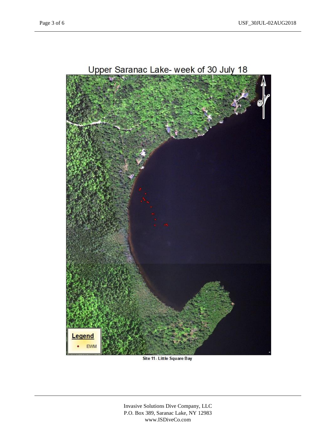

Site 11 - Little Square Bay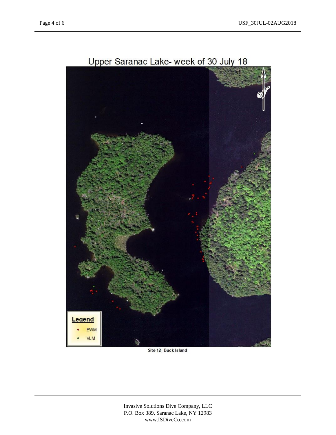

Upper Saranac Lake- week of 30 July 18

Site 12- Buck Island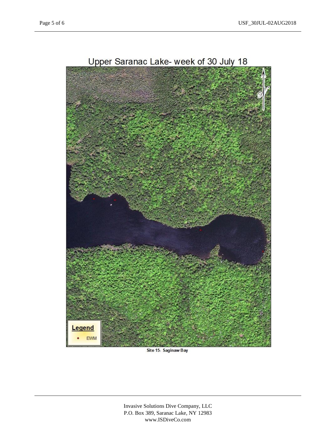

Site 15- Saginaw Bay